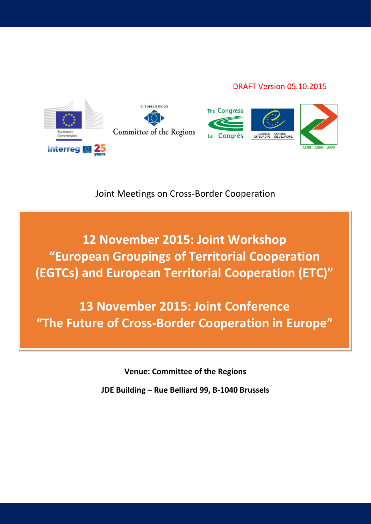#### DRAFT Version 05.10.2015



Joint Meetings on Cross-Border Cooperation

**12 November 2015: Joint Workshop "European Groupings of Territorial Cooperation (EGTCs) and European Territorial Cooperation (ETC)"**

**13 November 2015: Joint Conference "The Future of Cross-Border Cooperation in Europe"**

**Venue: Committee of the Regions**

**JDE Building – Rue Belliard 99, B-1040 Brussels**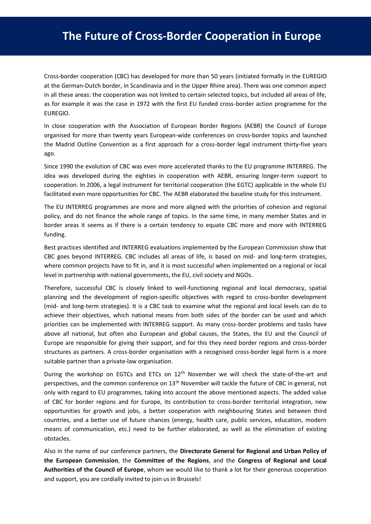Cross-border cooperation (CBC) has developed for more than 50 years (initiated formally in the EUREGIO at the German-Dutch border, in Scandinavia and in the Upper Rhine area). There was one common aspect in all these areas: the cooperation was not limited to certain selected topics, but included all areas of life, as for example it was the case in 1972 with the first EU funded cross-border action programme for the EUREGIO.

In close cooperation with the Association of European Border Regions (AEBR) the Council of Europe organised for more than twenty years European-wide conferences on cross-border topics and launched the Madrid Outline Convention as a first approach for a cross-border legal instrument thirty-five years ago.

Since 1990 the evolution of CBC was even more accelerated thanks to the EU programme INTERREG. The idea was developed during the eighties in cooperation with AEBR, ensuring longer-term support to cooperation. In 2006, a legal instrument for territorial cooperation (the EGTC) applicable in the whole EU facilitated even more opportunities for CBC. The AEBR elaborated the baseline study for this instrument.

The EU INTERREG programmes are more and more aligned with the priorities of cohesion and regional policy, and do not finance the whole range of topics. In the same time, in many member States and in border areas it seems as if there is a certain tendency to equate CBC more and more with INTERREG funding.

Best practices identified and INTERREG evaluations implemented by the European Commission show that CBC goes beyond INTERREG. CBC includes all areas of life, is based on mid- and long-term strategies, where common projects have to fit in, and it is most successful when implemented on a regional or local level in partnership with national governments, the EU, civil society and NGOs.

Therefore, successful CBC is closely linked to well-functioning regional and local democracy, spatial planning and the development of region-specific objectives with regard to cross-border development (mid- and long-term strategies). It is a CBC task to examine what the regional and local levels can do to achieve their objectives, which national means from both sides of the border can be used and which priorities can be implemented with INTERREG support. As many cross-border problems and tasks have above all national, but often also European and global causes, the States, the EU and the Council of Europe are responsible for giving their support, and for this they need border regions and cross-border structures as partners. A cross-border organisation with a recognised cross-border legal form is a more suitable partner than a private-law organisation.

During the workshop on EGTCs and ETCs on 12<sup>th</sup> November we will check the state-of-the-art and perspectives, and the common conference on 13<sup>th</sup> November will tackle the future of CBC in general, not only with regard to EU programmes, taking into account the above mentioned aspects. The added value of CBC for border regions and for Europe, its contribution to cross-border territorial integration, new opportunities for growth and jobs, a better cooperation with neighbouring States and between third countries, and a better use of future chances (energy, health care, public services, education, modern means of communication, etc.) need to be further elaborated, as well as the elimination of existing obstacles.

Also in the name of our conference partners, the **Directorate General for Regional and Urban Policy of the European Commission**, the **Committee of the Regions**, and the **Congress of Regional and Local Authorities of the Council of Europe**, whom we would like to thank a lot for their generous cooperation and support, you are cordially invited to join us in Brussels!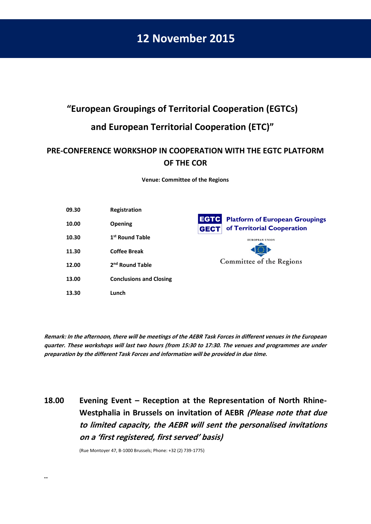### **12 November 2015**

# **"European Groupings of Territorial Cooperation (EGTCs) and European Territorial Cooperation (ETC)"**

### **PRE-CONFERENCE WORKSHOP IN COOPERATION WITH THE EGTC PLATFORM OF THE COR**

**Venue: Committee of the Regions**

| 09.30 | Registration                   |                                                                                                   |
|-------|--------------------------------|---------------------------------------------------------------------------------------------------|
| 10.00 | <b>Opening</b>                 | <b>EGTC</b><br><b>Platform of European Groupings</b><br>of Territorial Cooperation<br><b>GECT</b> |
| 10.30 | 1 <sup>st</sup> Round Table    | <b>EUROPEAN UNION</b>                                                                             |
| 11.30 | <b>Coffee Break</b>            |                                                                                                   |
| 12.00 | 2 <sup>nd</sup> Round Table    | Committee of the Regions                                                                          |
| 13.00 | <b>Conclusions and Closing</b> |                                                                                                   |
| 13.30 | Lunch                          |                                                                                                   |

**Remark: In the afternoon, there will be meetings of the AEBR Task Forces in different venues in the European quarter. These workshops will last two hours (from 15:30 to 17:30. The venues and programmes are under preparation by the different Task Forces and information will be provided in due time.** 

### **18.00 Evening Event – Reception at the Representation of North Rhine-Westphalia in Brussels on invitation of AEBR (Please note that due to limited capacity, the AEBR will sent the personalised invitations on a 'first registered, first served' basis)**

(Rue Montoyer 47, B-1000 Brussels; Phone: +32 (2) 739-1775)

**..**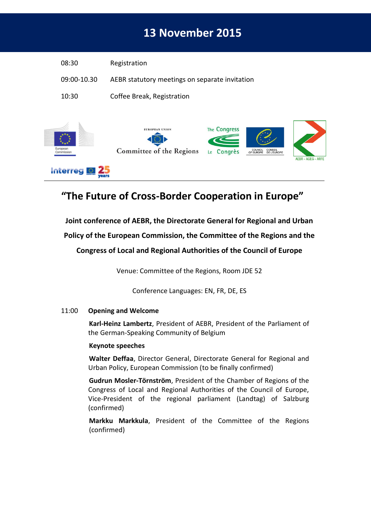## **13 November 2015**

| 08:30       | Registration                                      |                               |                                          |                           |
|-------------|---------------------------------------------------|-------------------------------|------------------------------------------|---------------------------|
| 09:00-10.30 | AEBR statutory meetings on separate invitation    |                               |                                          |                           |
| 10:30       | Coffee Break, Registration                        |                               |                                          |                           |
| European    | <b>EUROPEAN UNION</b><br>Committee of the Regions | The Congress<br>Congrès<br>Le | <b>CONSEIL</b><br>COUNCIL<br>DE L'EUROPE | <b>AEBR - AGEG - ARFE</b> |

### **"The Future of Cross-Border Cooperation in Europe"**

#### **Joint conference of AEBR, the Directorate General for Regional and Urban**

#### **Policy of the European Commission, the Committee of the Regions and the**

**Congress of Local and Regional Authorities of the Council of Europe**

Venue: Committee of the Regions, Room JDE 52

Conference Languages: EN, FR, DE, ES

#### 11:00 **Opening and Welcome**

.

Interreg **Q** 25

**Karl-Heinz Lambertz**, President of AEBR, President of the Parliament of the German-Speaking Community of Belgium

#### **Keynote speeches**

**Walter Deffaa**, Director General, Directorate General for Regional and Urban Policy, European Commission (to be finally confirmed)

**Gudrun Mosler-Törnström**, President of the Chamber of Regions of the Congress of Local and Regional Authorities of the Council of Europe, Vice-President of the regional parliament (Landtag) of Salzburg (confirmed)

**Markku Markkula**, President of the Committee of the Regions (confirmed)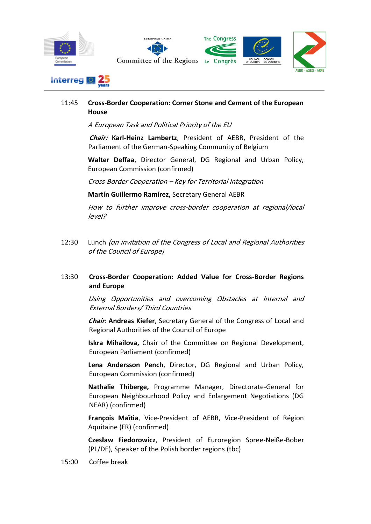





#### 11:45 **Cross-Border Cooperation: Corner Stone and Cement of the European House**

A European Task and Political Priority of the EU

**Chair: Karl-Heinz Lambertz**, President of AEBR, President of the Parliament of the German-Speaking Community of Belgium

**Walter Deffaa**, Director General, DG Regional and Urban Policy, European Commission (confirmed)

Cross-Border Cooperation – Key for Territorial Integration

**Martín Guillermo Ramírez,** Secretary General AEBR

How to further improve cross-border cooperation at regional/local level?

12:30 Lunch (on invitation of the Congress of Local and Regional Authorities of the Council of Europe)

#### 13:30 **Cross-Border Cooperation: Added Value for Cross-Border Regions and Europe**

Using Opportunities and overcoming Obstacles at Internal and External Borders/ Third Countries

**Chair**: **Andreas Kiefer**, Secretary General of the Congress of Local and Regional Authorities of the Council of Europe

**Iskra Mihailova,** Chair of the Committee on Regional Development, European Parliament (confirmed)

**Lena Andersson Pench**, Director, DG Regional and Urban Policy, European Commission (confirmed)

**Nathalie Thiberge,** Programme Manager, Directorate-General for European Neighbourhood Policy and Enlargement Negotiations (DG NEAR) (confirmed)

**François Maïtia**, Vice-President of AEBR, Vice-President of Région Aquitaine (FR) (confirmed)

**Czesław Fiedorowicz**, President of Euroregion Spree-Neiße-Bober (PL/DE), Speaker of the Polish border regions (tbc)

15:00 Coffee break